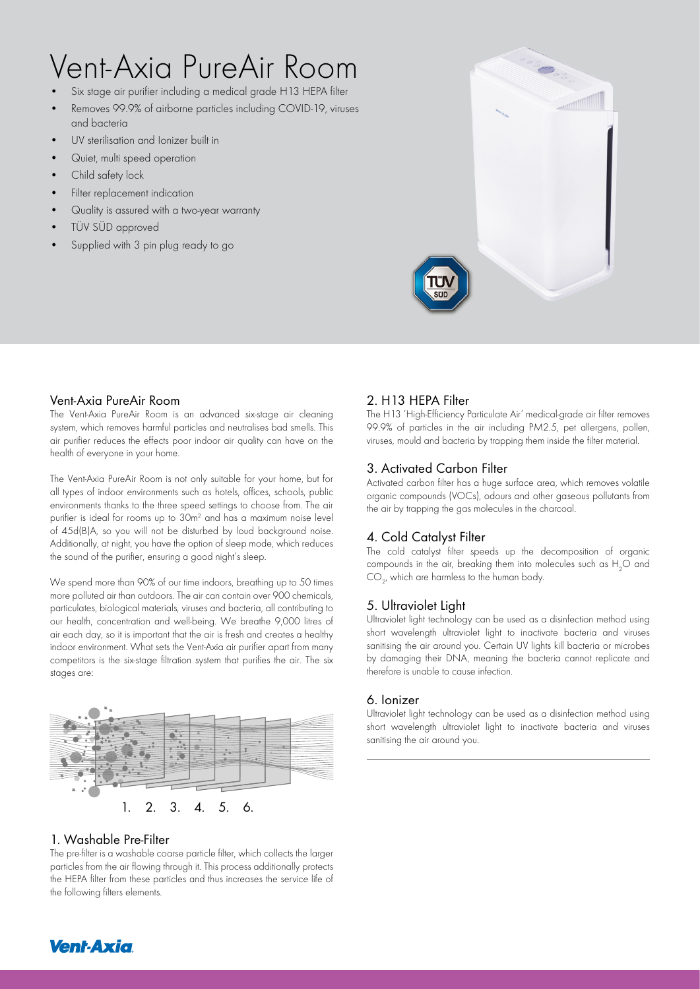# Vent-Axia PureAir Room

- Six stage air purifier including a medical grade H13 HEPA filter
- Removes 99.9% of airborne particles including COVID-19, viruses and bacteria
- UV sterilisation and Ionizer built in
- Quiet, multi speed operation
- Child safety lock
- Filter replacement indication
- Quality is assured with a two-year warranty
- TÜV SÜD approved
- Supplied with 3 pin plug ready to go



#### Vent-Axia PureAir Room

The Vent-Axia PureAir Room is an advanced six-stage air cleaning system, which removes harmful particles and neutralises bad smells. This air purifier reduces the effects poor indoor air quality can have on the health of everyone in your home.

The Vent-Axia PureAir Room is not only suitable for your home, but for all types of indoor environments such as hotels, offices, schools, public environments thanks to the three speed settings to choose from. The air purifier is ideal for rooms up to 30m<sup>2</sup> and has a maximum noise level of 45d(B)A, so you will not be disturbed by loud background noise. Additionally, at night, you have the option of sleep mode, which reduces the sound of the purifier, ensuring a good night's sleep.

We spend more than 90% of our time indoors, breathing up to 50 times more polluted air than outdoors. The air can contain over 900 chemicals, particulates, biological materials, viruses and bacteria, all contributing to our health, concentration and well-being. We breathe 9,000 litres of air each day, so it is important that the air is fresh and creates a healthy indoor environment. What sets the Vent-Axia air purifier apart from many competitors is the six-stage filtration system that purifies the air. The six stages are:



## 1. Washable Pre-Filter

The pre-filter is a washable coarse particle filter, which collects the larger particles from the air flowing through it. This process additionally protects the HEPA filter from these particles and thus increases the service life of the following filters elements.

# 2. H13 HEPA Filter

The H13 'High-Efficiency Particulate Air' medical-grade air filter removes 99.9% of particles in the air including PM2.5, pet allergens, pollen, viruses, mould and bacteria by trapping them inside the filter material.

## 3. Activated Carbon Filter

Activated carbon filter has a huge surface area, which removes volatile organic compounds (VOCs), odours and other gaseous pollutants from the air by trapping the gas molecules in the charcoal.

# 4. Cold Catalyst Filter

The cold catalyst filter speeds up the decomposition of organic compounds in the air, breaking them into molecules such as  ${\rm H_2O}$  and  $\mathsf{CO}_{2'}$  which are harmless to the human body.

# 5. Ultraviolet Light

Ultraviolet light technology can be used as a disinfection method using short wavelength ultraviolet light to inactivate bacteria and viruses sanitising the air around you. Certain UV lights kill bacteria or microbes by damaging their DNA, meaning the bacteria cannot replicate and therefore is unable to cause infection.

#### 6. Ionizer

Ultraviolet light technology can be used as a disinfection method using short wavelength ultraviolet light to inactivate bacteria and viruses sanitising the air around you.